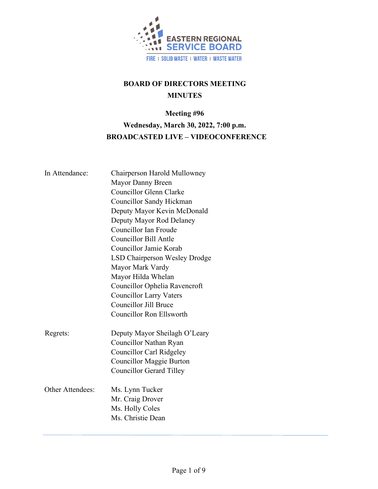

# **BOARD OF DIRECTORS MEETING MINUTES**

# **Meeting #96 Wednesday, March 30, 2022, 7:00 p.m. BROADCASTED LIVE – VIDEOCONFERENCE**

| In Attendance:   | Chairperson Harold Mullowney<br>Mayor Danny Breen<br><b>Councillor Glenn Clarke</b><br>Councillor Sandy Hickman<br>Deputy Mayor Kevin McDonald<br>Deputy Mayor Rod Delaney<br>Councillor Ian Froude<br>Councillor Bill Antle<br>Councillor Jamie Korab<br><b>LSD Chairperson Wesley Drodge</b><br>Mayor Mark Vardy<br>Mayor Hilda Whelan<br>Councillor Ophelia Ravencroft<br><b>Councillor Larry Vaters</b><br><b>Councillor Jill Bruce</b><br><b>Councillor Ron Ellsworth</b> |
|------------------|--------------------------------------------------------------------------------------------------------------------------------------------------------------------------------------------------------------------------------------------------------------------------------------------------------------------------------------------------------------------------------------------------------------------------------------------------------------------------------|
| Regrets:         | Deputy Mayor Sheilagh O'Leary<br>Councillor Nathan Ryan<br><b>Councillor Carl Ridgeley</b><br>Councillor Maggie Burton<br><b>Councillor Gerard Tilley</b>                                                                                                                                                                                                                                                                                                                      |
| Other Attendees: | Ms. Lynn Tucker<br>Mr. Craig Drover<br>Ms. Holly Coles<br>Ms. Christie Dean                                                                                                                                                                                                                                                                                                                                                                                                    |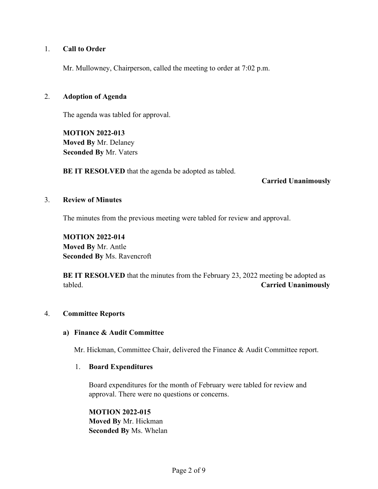### 1. **Call to Order**

Mr. Mullowney, Chairperson, called the meeting to order at 7:02 p.m.

#### 2. **Adoption of Agenda**

The agenda was tabled for approval.

**MOTION 2022-013 Moved By** Mr. Delaney **Seconded By** Mr. Vaters

**BE IT RESOLVED** that the agenda be adopted as tabled.

#### **Carried Unanimously**

#### 3. **Review of Minutes**

The minutes from the previous meeting were tabled for review and approval.

**MOTION 2022-014 Moved By** Mr. Antle **Seconded By** Ms. Ravencroft

**BE IT RESOLVED** that the minutes from the February 23, 2022 meeting be adopted as tabled. **Carried Unanimously**

#### 4. **Committee Reports**

#### **a) Finance & Audit Committee**

Mr. Hickman, Committee Chair, delivered the Finance & Audit Committee report.

#### 1. **Board Expenditures**

Board expenditures for the month of February were tabled for review and approval. There were no questions or concerns.

**MOTION 2022-015 Moved By** Mr. Hickman **Seconded By** Ms. Whelan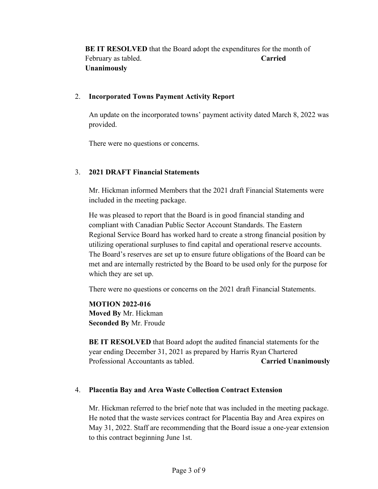**BE IT RESOLVED** that the Board adopt the expenditures for the month of February as tabled. **Carried Carried Unanimously**

### 2. **Incorporated Towns Payment Activity Report**

An update on the incorporated towns' payment activity dated March 8, 2022 was provided.

There were no questions or concerns.

### 3. **2021 DRAFT Financial Statements**

Mr. Hickman informed Members that the 2021 draft Financial Statements were included in the meeting package.

He was pleased to report that the Board is in good financial standing and compliant with Canadian Public Sector Account Standards. The Eastern Regional Service Board has worked hard to create a strong financial position by utilizing operational surpluses to find capital and operational reserve accounts. The Board's reserves are set up to ensure future obligations of the Board can be met and are internally restricted by the Board to be used only for the purpose for which they are set up.

There were no questions or concerns on the 2021 draft Financial Statements.

**MOTION 2022-016 Moved By** Mr. Hickman **Seconded By** Mr. Froude

**BE IT RESOLVED** that Board adopt the audited financial statements for the year ending December 31, 2021 as prepared by Harris Ryan Chartered Professional Accountants as tabled. **Carried Unanimously**

#### 4. **Placentia Bay and Area Waste Collection Contract Extension**

Mr. Hickman referred to the brief note that was included in the meeting package. He noted that the waste services contract for Placentia Bay and Area expires on May 31, 2022. Staff are recommending that the Board issue a one-year extension to this contract beginning June 1st.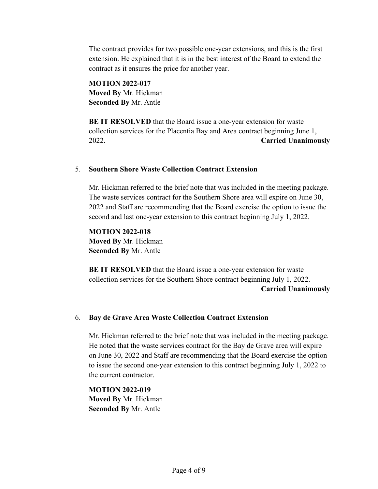The contract provides for two possible one-year extensions, and this is the first extension. He explained that it is in the best interest of the Board to extend the contract as it ensures the price for another year.

**MOTION 2022-017 Moved By** Mr. Hickman **Seconded By** Mr. Antle

**BE IT RESOLVED** that the Board issue a one-year extension for waste collection services for the Placentia Bay and Area contract beginning June 1, 2022. **Carried Unanimously**

### 5. **Southern Shore Waste Collection Contract Extension**

Mr. Hickman referred to the brief note that was included in the meeting package. The waste services contract for the Southern Shore area will expire on June 30, 2022 and Staff are recommending that the Board exercise the option to issue the second and last one-year extension to this contract beginning July 1, 2022.

**MOTION 2022-018 Moved By** Mr. Hickman **Seconded By** Mr. Antle

**BE IT RESOLVED** that the Board issue a one-year extension for waste collection services for the Southern Shore contract beginning July 1, 2022.  **Carried Unanimously**

### 6. **Bay de Grave Area Waste Collection Contract Extension**

Mr. Hickman referred to the brief note that was included in the meeting package. He noted that the waste services contract for the Bay de Grave area will expire on June 30, 2022 and Staff are recommending that the Board exercise the option to issue the second one-year extension to this contract beginning July 1, 2022 to the current contractor.

**MOTION 2022-019 Moved By** Mr. Hickman **Seconded By** Mr. Antle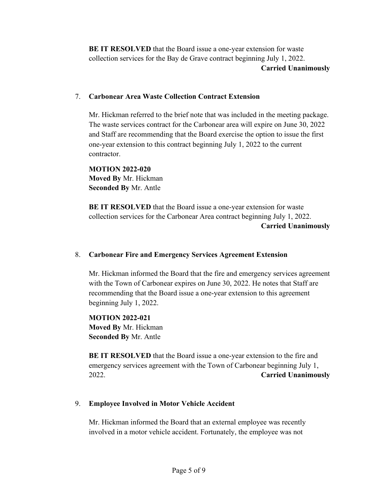**BE IT RESOLVED** that the Board issue a one-year extension for waste collection services for the Bay de Grave contract beginning July 1, 2022.  **Carried Unanimously**

### 7. **Carbonear Area Waste Collection Contract Extension**

Mr. Hickman referred to the brief note that was included in the meeting package. The waste services contract for the Carbonear area will expire on June 30, 2022 and Staff are recommending that the Board exercise the option to issue the first one-year extension to this contract beginning July 1, 2022 to the current contractor.

**MOTION 2022-020 Moved By** Mr. Hickman **Seconded By** Mr. Antle

**BE IT RESOLVED** that the Board issue a one-year extension for waste collection services for the Carbonear Area contract beginning July 1, 2022.  **Carried Unanimously**

### 8. **Carbonear Fire and Emergency Services Agreement Extension**

Mr. Hickman informed the Board that the fire and emergency services agreement with the Town of Carbonear expires on June 30, 2022. He notes that Staff are recommending that the Board issue a one-year extension to this agreement beginning July 1, 2022.

**MOTION 2022-021 Moved By** Mr. Hickman **Seconded By** Mr. Antle

**BE IT RESOLVED** that the Board issue a one-year extension to the fire and emergency services agreement with the Town of Carbonear beginning July 1, 2022. **Carried Unanimously**

### 9. **Employee Involved in Motor Vehicle Accident**

Mr. Hickman informed the Board that an external employee was recently involved in a motor vehicle accident. Fortunately, the employee was not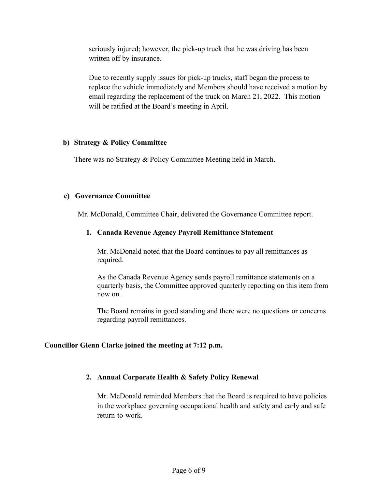seriously injured; however, the pick-up truck that he was driving has been written off by insurance.

Due to recently supply issues for pick-up trucks, staff began the process to replace the vehicle immediately and Members should have received a motion by email regarding the replacement of the truck on March 21, 2022. This motion will be ratified at the Board's meeting in April.

### **b) Strategy & Policy Committee**

There was no Strategy & Policy Committee Meeting held in March.

### **c) Governance Committee**

Mr. McDonald, Committee Chair, delivered the Governance Committee report.

### **1. Canada Revenue Agency Payroll Remittance Statement**

Mr. McDonald noted that the Board continues to pay all remittances as required.

As the Canada Revenue Agency sends payroll remittance statements on a quarterly basis, the Committee approved quarterly reporting on this item from now on.

The Board remains in good standing and there were no questions or concerns regarding payroll remittances.

#### **Councillor Glenn Clarke joined the meeting at 7:12 p.m.**

### **2. Annual Corporate Health & Safety Policy Renewal**

Mr. McDonald reminded Members that the Board is required to have policies in the workplace governing occupational health and safety and early and safe return-to-work.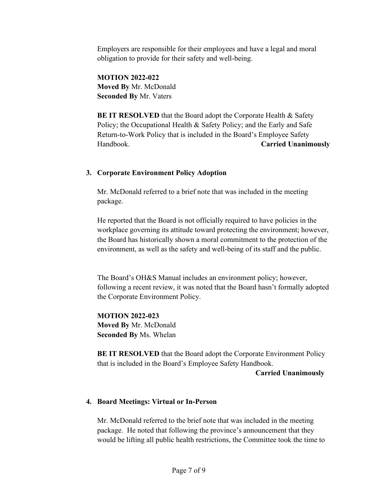Employers are responsible for their employees and have a legal and moral obligation to provide for their safety and well-being.

**MOTION 2022-022 Moved By** Mr. McDonald **Seconded By** Mr. Vaters

**BE IT RESOLVED** that the Board adopt the Corporate Health & Safety Policy; the Occupational Health & Safety Policy; and the Early and Safe Return-to-Work Policy that is included in the Board's Employee Safety Handbook. **Carried Unanimously**

### **3. Corporate Environment Policy Adoption**

Mr. McDonald referred to a brief note that was included in the meeting package.

He reported that the Board is not officially required to have policies in the workplace governing its attitude toward protecting the environment; however, the Board has historically shown a moral commitment to the protection of the environment, as well as the safety and well-being of its staff and the public.

The Board's OH&S Manual includes an environment policy; however, following a recent review, it was noted that the Board hasn't formally adopted the Corporate Environment Policy.

**MOTION 2022-023 Moved By** Mr. McDonald **Seconded By** Ms. Whelan

**BE IT RESOLVED** that the Board adopt the Corporate Environment Policy that is included in the Board's Employee Safety Handbook.

 **Carried Unanimously**

### **4. Board Meetings: Virtual or In-Person**

Mr. McDonald referred to the brief note that was included in the meeting package. He noted that following the province's announcement that they would be lifting all public health restrictions, the Committee took the time to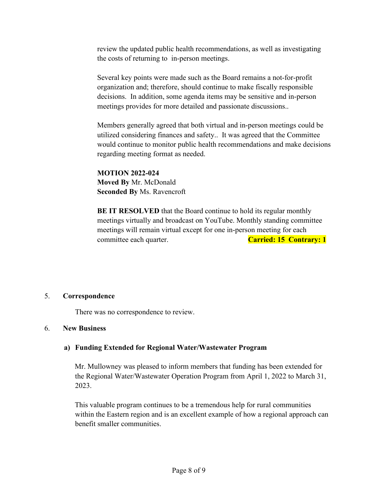review the updated public health recommendations, as well as investigating the costs of returning to in-person meetings.

Several key points were made such as the Board remains a not-for-profit organization and; therefore, should continue to make fiscally responsible decisions. In addition, some agenda items may be sensitive and in-person meetings provides for more detailed and passionate discussions..

Members generally agreed that both virtual and in-person meetings could be utilized considering finances and safety.. It was agreed that the Committee would continue to monitor public health recommendations and make decisions regarding meeting format as needed.

**MOTION 2022-024 Moved By** Mr. McDonald **Seconded By** Ms. Ravencroft

**BE IT RESOLVED** that the Board continue to hold its regular monthly meetings virtually and broadcast on YouTube. Monthly standing committee meetings will remain virtual except for one in-person meeting for each committee each quarter. **Carried: 15 Contrary: 1** 

#### 5. **Correspondence**

There was no correspondence to review.

#### 6. **New Business**

### **a) Funding Extended for Regional Water/Wastewater Program**

Mr. Mullowney was pleased to inform members that funding has been extended for the Regional Water/Wastewater Operation Program from April 1, 2022 to March 31, 2023.

This valuable program continues to be a tremendous help for rural communities within the Eastern region and is an excellent example of how a regional approach can benefit smaller communities.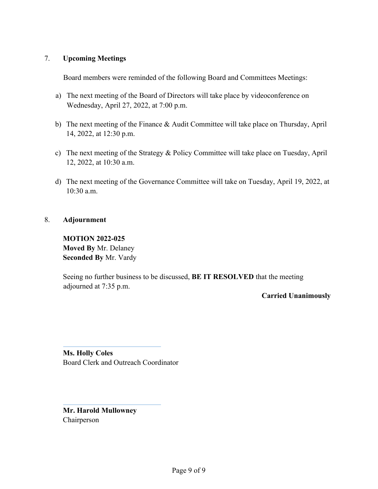### 7. **Upcoming Meetings**

Board members were reminded of the following Board and Committees Meetings:

- a) The next meeting of the Board of Directors will take place by videoconference on Wednesday, April 27, 2022, at 7:00 p.m.
- b) The next meeting of the Finance & Audit Committee will take place on Thursday, April 14, 2022, at 12:30 p.m.
- c) The next meeting of the Strategy & Policy Committee will take place on Tuesday, April 12, 2022, at 10:30 a.m.
- d) The next meeting of the Governance Committee will take on Tuesday, April 19, 2022, at 10:30 a.m.

### 8. **Adjournment**

**MOTION 2022-025 Moved By** Mr. Delaney **Seconded By** Mr. Vardy

Seeing no further business to be discussed, **BE IT RESOLVED** that the meeting adjourned at 7:35 p.m.

**Carried Unanimously**

**Ms. Holly Coles** Board Clerk and Outreach Coordinator

**Mr. Harold Mullowney** Chairperson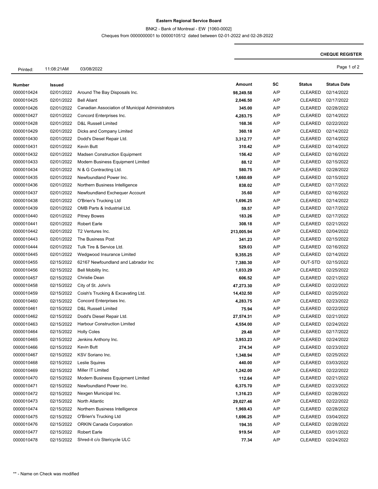#### **Eastern Regional Service Board**

BNK2 - Bank of Montreal - EW [1060-0002]

Cheques from 0000000001 to 0000010512 dated between 02-01-2022 and 02-28-2022

#### **CHEQUE REGISTER**

Printed: 11:08:21AM 03/08/2022 Page 1 of 2

| SC<br>Amount<br>Number<br><b>Issued</b><br>Around The Bay Disposals Inc.<br>A/P<br>0000010424<br>02/01/2022<br>98,249.58<br>A/P<br>0000010425<br>02/01/2022<br><b>Bell Aliant</b><br>2,046.50<br>02/01/2022<br>Canadian Association of Municipal Administrators<br>A/P<br>0000010426<br>345.00 | <b>Status</b><br><b>CLEARED</b><br><b>CLEARED</b><br><b>CLEARED</b><br><b>CLEARED</b> | <b>Status Date</b><br>02/14/2022<br>02/17/2022 |
|------------------------------------------------------------------------------------------------------------------------------------------------------------------------------------------------------------------------------------------------------------------------------------------------|---------------------------------------------------------------------------------------|------------------------------------------------|
|                                                                                                                                                                                                                                                                                                |                                                                                       |                                                |
|                                                                                                                                                                                                                                                                                                |                                                                                       |                                                |
|                                                                                                                                                                                                                                                                                                |                                                                                       |                                                |
|                                                                                                                                                                                                                                                                                                |                                                                                       | 02/28/2022                                     |
| A/P<br>0000010427<br>02/01/2022<br>Concord Enterprises Inc.<br>4,283.75                                                                                                                                                                                                                        |                                                                                       | 02/14/2022                                     |
| 02/01/2022<br>A/P<br>0000010428<br><b>D&amp;L Russell Limited</b><br>168.36                                                                                                                                                                                                                    | <b>CLEARED</b>                                                                        | 02/22/2022                                     |
| A/P<br>0000010429<br>02/01/2022<br>Dicks and Company Limited<br>360.18                                                                                                                                                                                                                         | <b>CLEARED</b>                                                                        | 02/14/2022                                     |
| Dodd's Diesel Repair Ltd.<br>A/P<br>0000010430<br>02/01/2022<br>3,312.77                                                                                                                                                                                                                       | <b>CLEARED</b>                                                                        | 02/14/2022                                     |
| A/P<br>0000010431<br>02/01/2022<br>Kevin Butt<br>310.42                                                                                                                                                                                                                                        | <b>CLEARED</b>                                                                        | 02/14/2022                                     |
| 0000010432<br>02/01/2022<br><b>Madsen Construction Equipment</b><br>A/P<br>156.42                                                                                                                                                                                                              | <b>CLEARED</b>                                                                        | 02/16/2022                                     |
| 88.12<br>A/P<br>02/01/2022<br>Modern Business Equipment Limited<br>0000010433                                                                                                                                                                                                                  | <b>CLEARED</b>                                                                        | 02/15/2022                                     |
| A/P<br>02/01/2022<br>0000010434<br>N & G Contracting Ltd.<br>580.75                                                                                                                                                                                                                            | <b>CLEARED</b>                                                                        | 02/28/2022                                     |
| 02/01/2022<br>Newfoundland Power Inc.<br>A/P<br>0000010435<br>1,660.69                                                                                                                                                                                                                         | <b>CLEARED</b>                                                                        | 02/15/2022                                     |
| A/P<br>02/01/2022<br>Northern Business Intelligence<br>838.02<br>0000010436                                                                                                                                                                                                                    | <b>CLEARED</b>                                                                        | 02/17/2022                                     |
| A/P<br>0000010437<br>02/01/2022<br>Newfoundland Exchequer Account<br>35.60                                                                                                                                                                                                                     | <b>CLEARED</b>                                                                        | 02/16/2022                                     |
| A/P<br>0000010438<br>02/01/2022<br>O'Brien's Trucking Ltd<br>1,696.25                                                                                                                                                                                                                          | <b>CLEARED</b>                                                                        | 02/14/2022                                     |
| 02/01/2022<br>OMB Parts & Industrial Ltd.<br>A/P<br>0000010439<br>59.57                                                                                                                                                                                                                        | <b>CLEARED</b>                                                                        | 02/17/2022                                     |
| A/P<br>0000010440<br>02/01/2022<br><b>Pitney Bowes</b><br>183.26                                                                                                                                                                                                                               | <b>CLEARED</b>                                                                        | 02/17/2022                                     |
| A/P<br>0000010441<br>02/01/2022<br><b>Robert Earle</b><br>308.18                                                                                                                                                                                                                               | <b>CLEARED</b>                                                                        | 02/21/2022                                     |
| 02/01/2022<br>T2 Ventures Inc.<br>213,005.94<br>A/P<br>0000010442                                                                                                                                                                                                                              | <b>CLEARED</b>                                                                        | 02/04/2022                                     |
| A/P<br>0000010443<br>02/01/2022<br>The Business Post<br>341.23                                                                                                                                                                                                                                 | <b>CLEARED</b>                                                                        | 02/15/2022                                     |
| 0000010444<br>02/01/2022<br>Tulk Tire & Service Ltd.<br>A/P<br>529.03                                                                                                                                                                                                                          | <b>CLEARED</b>                                                                        | 02/16/2022                                     |
|                                                                                                                                                                                                                                                                                                |                                                                                       |                                                |
| 02/01/2022<br>A/P<br>0000010445<br>Wedgwood Insurance Limited<br>9,355.25                                                                                                                                                                                                                      | <b>CLEARED</b>                                                                        | 02/14/2022                                     |
| A/P<br>02/15/2022<br>62167 Newfoundland and Labrador Inc<br>0000010455<br>7,380.30                                                                                                                                                                                                             | OUT-STD                                                                               | 02/15/2022                                     |
| 02/15/2022<br>A/P<br>0000010456<br>Bell Mobility Inc.<br>1,033.29                                                                                                                                                                                                                              | <b>CLEARED</b>                                                                        | 02/25/2022                                     |
| <b>Christie Dean</b><br>A/P<br>0000010457<br>02/15/2022<br>606.52                                                                                                                                                                                                                              | <b>CLEARED</b>                                                                        | 02/21/2022                                     |
| A/P<br>0000010458<br>02/15/2022<br>City of St. John's<br>47,273.30                                                                                                                                                                                                                             | <b>CLEARED</b>                                                                        | 02/22/2022                                     |
| 02/15/2022<br>A/P<br>0000010459<br>Coish's Trucking & Excavating Ltd.<br>14,432.50                                                                                                                                                                                                             | <b>CLEARED</b>                                                                        | 02/25/2022                                     |
| 02/15/2022<br>A/P<br>0000010460<br>Concord Enterprises Inc.<br>4,283.75                                                                                                                                                                                                                        | <b>CLEARED</b>                                                                        | 02/23/2022                                     |
| A/P<br>0000010461<br>02/15/2022<br><b>D&amp;L Russell Limited</b><br>75.94                                                                                                                                                                                                                     | <b>CLEARED</b>                                                                        | 02/22/2022                                     |
| A/P<br>0000010462<br>02/15/2022<br>Dodd's Diesel Repair Ltd.<br>27,574.31                                                                                                                                                                                                                      | <b>CLEARED</b>                                                                        | 02/21/2022                                     |
| <b>Harbour Construction Limited</b><br>A/P<br>0000010463<br>02/15/2022<br>4,554.00                                                                                                                                                                                                             | <b>CLEARED</b>                                                                        | 02/24/2022                                     |
| A/P<br>0000010464<br>02/15/2022<br><b>Holly Coles</b><br>29.48                                                                                                                                                                                                                                 | <b>CLEARED</b>                                                                        | 02/17/2022                                     |
| 0000010465<br>02/15/2022<br>Jenkins Anthony Inc.<br>A/P<br>3,953.23                                                                                                                                                                                                                            | <b>CLEARED</b>                                                                        | 02/24/2022                                     |
| A/P<br>0000010466<br>02/15/2022<br>Kevin Butt<br>274.34                                                                                                                                                                                                                                        | <b>CLEARED</b>                                                                        | 02/23/2022                                     |
| A/P<br>0000010467<br>02/15/2022<br>KSV Soriano Inc.<br>1,348.94                                                                                                                                                                                                                                | <b>CLEARED</b>                                                                        | 02/25/2022                                     |
| 0000010468<br>02/15/2022<br>Leslie Squires<br>A/P<br>440.00                                                                                                                                                                                                                                    | <b>CLEARED</b>                                                                        | 03/03/2022                                     |
| 02/15/2022<br>Miller IT Limited<br>1,242.00<br>A/P<br>0000010469                                                                                                                                                                                                                               | <b>CLEARED</b>                                                                        | 02/22/2022                                     |
| A/P<br>0000010470<br>02/15/2022<br>Modern Business Equipment Limited<br>112.64                                                                                                                                                                                                                 | <b>CLEARED</b>                                                                        | 02/21/2022                                     |
| 0000010471<br>02/15/2022<br>Newfoundland Power Inc.<br>A/P<br>6,375.70                                                                                                                                                                                                                         | <b>CLEARED</b>                                                                        | 02/23/2022                                     |
| Nexgen Municipal Inc.<br>A/P<br>0000010472<br>02/15/2022<br>1,316.23                                                                                                                                                                                                                           | <b>CLEARED</b>                                                                        | 02/28/2022                                     |
| A/P<br>0000010473<br>02/15/2022<br>North Atlantic<br>29,027.46                                                                                                                                                                                                                                 | <b>CLEARED</b>                                                                        | 02/22/2022                                     |
| 0000010474<br>02/15/2022<br>Northern Business Intelligence<br>A/P<br>1,969.43                                                                                                                                                                                                                  | <b>CLEARED</b>                                                                        | 02/28/2022                                     |
| O'Brien's Trucking Ltd<br>A/P<br>0000010475<br>02/15/2022<br>1,696.25                                                                                                                                                                                                                          | <b>CLEARED</b>                                                                        | 03/04/2022                                     |
| A/P<br>0000010476<br>02/15/2022<br><b>ORKIN Canada Corporation</b><br>194.35                                                                                                                                                                                                                   | <b>CLEARED</b>                                                                        | 02/28/2022                                     |
| 0000010477<br>02/15/2022<br><b>Robert Earle</b><br>A/P<br>919.54                                                                                                                                                                                                                               | <b>CLEARED</b>                                                                        | 03/01/2022                                     |
| Shred-it c/o Stericycle ULC<br>77.34<br>A/P<br>0000010478<br>02/15/2022                                                                                                                                                                                                                        | <b>CLEARED</b>                                                                        | 02/24/2022                                     |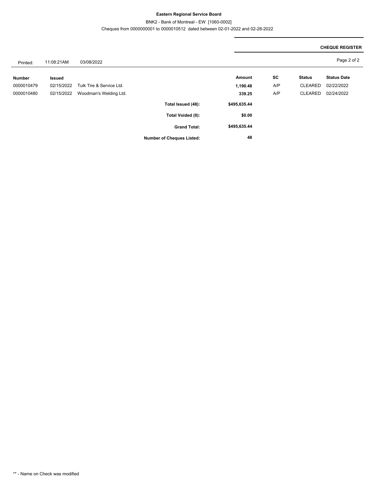#### **Eastern Regional Service Board**

BNK2 - Bank of Montreal - EW [1060-0002]

Cheques from 0000000001 to 0000010512 dated between 02-01-2022 and 02-28-2022

|               |               |                          |                                  |              |     |                | <b>CHEQUE REGISTER</b> |  |
|---------------|---------------|--------------------------|----------------------------------|--------------|-----|----------------|------------------------|--|
| Printed:      | 11:08:21AM    | 03/08/2022               |                                  |              |     |                | Page 2 of 2            |  |
| <b>Number</b> | <b>Issued</b> |                          |                                  | Amount       | SC  | <b>Status</b>  | <b>Status Date</b>     |  |
| 0000010479    | 02/15/2022    | Tulk Tire & Service Ltd. |                                  | 1,190.48     | A/P | <b>CLEARED</b> | 02/22/2022             |  |
| 0000010480    | 02/15/2022    | Woodman's Welding Ltd.   |                                  | 339.25       | A/P | <b>CLEARED</b> | 02/24/2022             |  |
|               |               |                          | Total Issued (48):               | \$495,635.44 |     |                |                        |  |
|               |               |                          | Total Voided (0):                | \$0.00       |     |                |                        |  |
|               |               |                          | <b>Grand Total:</b>              | \$495,635.44 |     |                |                        |  |
|               |               |                          | <b>Number of Cheques Listed:</b> | 48           |     |                |                        |  |

#### \*\* - Name on Check was modified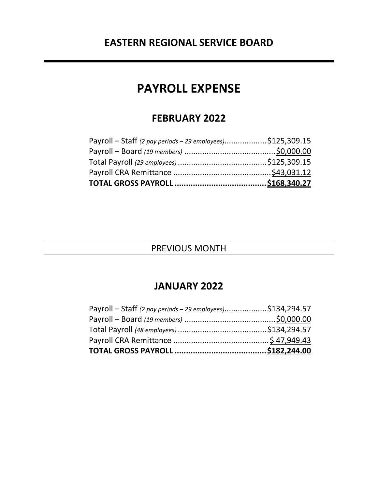# **PAYROLL EXPENSE**

# **FEBRUARY 2022**

| Payroll – Staff (2 pay periods – 29 employees)\$125,309.15 |  |
|------------------------------------------------------------|--|
|                                                            |  |
|                                                            |  |
|                                                            |  |
|                                                            |  |

# PREVIOUS MONTH

# **JANUARY 2022**

| Payroll – Staff (2 pay periods – 29 employees)\$134,294.57 |  |
|------------------------------------------------------------|--|
|                                                            |  |
|                                                            |  |
|                                                            |  |
|                                                            |  |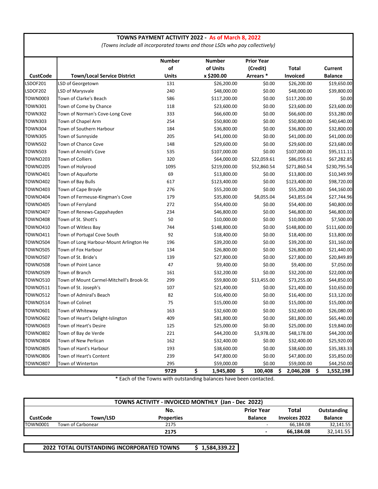#### **TOWNS PAYMENT ACTIVITY 2022 - As of March 8, 2022**

*(Towns include all incorporated towns and those LSDs who pay collectively)*

|                 |                                           | <b>Number</b> | <b>Number</b>   | <b>Prior Year</b> |                 |                 |
|-----------------|-------------------------------------------|---------------|-----------------|-------------------|-----------------|-----------------|
|                 |                                           | of            | of Units        | (Credit)          | <b>Total</b>    | <b>Current</b>  |
| <b>CustCode</b> | <b>Town/Local Service District</b>        | <b>Units</b>  | x \$200.00      | Arrears *         | Invoiced        | <b>Balance</b>  |
| LSDOF201        | LSD of Georgetown                         | 131           | \$26,200.00     | \$0.00            | \$26,200.00     | \$19,650.00     |
| LSDOF202        | LSD of Marysvale                          | 240           | \$48,000.00     | \$0.00            | \$48,000.00     | \$39,800.00     |
| <b>TOWN0003</b> | Town of Clarke's Beach                    | 586           | \$117,200.00    | \$0.00            | \$117,200.00    | \$0.00          |
| <b>TOWN301</b>  | Town of Come by Chance                    | 118           | \$23,600.00     | \$0.00            | \$23,600.00     | \$23,600.00     |
| <b>TOWN302</b>  | Town of Norman's Cove-Long Cove           | 333           | \$66,600.00     | \$0.00            | \$66,600.00     | \$53,280.00     |
| <b>TOWN303</b>  | Town of Chapel Arm                        | 254           | \$50,800.00     | \$0.00            | \$50,800.00     | \$40,640.00     |
| <b>TOWN304</b>  | Town of Southern Harbour                  | 184           | \$36,800.00     | \$0.00            | \$36,800.00     | \$32,800.00     |
| <b>TOWN305</b>  | Town of Sunnyside                         | 205           | \$41,000.00     | \$0.00            | \$41,000.00     | \$41,000.00     |
| <b>TOWN502</b>  | Town of Chance Cove                       | 148           | \$29,600.00     | \$0.00            | \$29,600.00     | \$23,680.00     |
| <b>TOWN503</b>  | Town of Arnold's Cove                     | 535           | \$107,000.00    | \$0.00            | \$107,000.00    | \$95,111.11     |
| <b>TOWNO203</b> | <b>Town of Colliers</b>                   | 320           | \$64,000.00     | \$22,059.61       | \$86,059.61     | \$67,282.85     |
| <b>TOWNO205</b> | Town of Holyrood                          | 1095          | \$219,000.00    | \$52,860.54       | \$271,860.54    | \$230,795.54    |
| <b>TOWNO401</b> | Town of Aquaforte                         | 69            | \$13,800.00     | \$0.00            | \$13,800.00     | \$10,349.99     |
| <b>TOWNO402</b> | Town of Bay Bulls                         | 617           | \$123,400.00    | \$0.00            | \$123,400.00    | \$98,720.00     |
| <b>TOWNO403</b> | Town of Cape Broyle                       | 276           | \$55,200.00     | \$0.00            | \$55,200.00     | \$44,160.00     |
| <b>TOWNO404</b> | Town of Fermeuse-Kingman's Cove           | 179           | \$35,800.00     | \$8,055.04        | \$43,855.04     | \$27,744.96     |
| <b>TOWNO405</b> | Town of Ferryland                         | 272           | \$54,400.00     | \$0.00            | \$54,400.00     | \$40,800.00     |
| <b>TOWNO407</b> | Town of Renews-Cappahayden                | 234           | \$46,800.00     | \$0.00            | \$46,800.00     | \$46,800.00     |
| <b>TOWNO408</b> | Town of St. Shott's                       | 50            | \$10,000.00     | \$0.00            | \$10,000.00     | \$7,500.00      |
| <b>TOWNO410</b> | Town of Witless Bay                       | 744           | \$148,800.00    | \$0.00            | \$148,800.00    | \$111,600.00    |
| <b>TOWNO411</b> | Town of Portugal Cove South               | 92            | \$18,400.00     | \$0.00            | \$18,400.00     | \$13,800.00     |
| <b>TOWN0504</b> | Town of Long Harbour-Mount Arlington He   | 196           | \$39,200.00     | \$0.00            | \$39,200.00     | \$31,160.00     |
| <b>TOWNO505</b> | Town of Fox Harbour                       | 134           | \$26,800.00     | \$0.00            | \$26,800.00     | \$21,440.00     |
| <b>TOWN0507</b> | Town of St. Bride's                       | 139           | \$27,800.00     | \$0.00            | \$27,800.00     | \$20,849.89     |
| <b>TOWNO508</b> | Town of Point Lance                       | 47            | \$9,400.00      | \$0.00            | \$9,400.00      | \$7,050.00      |
| <b>TOWN0509</b> | Town of Branch                            | 161           | \$32,200.00     | \$0.00            | \$32,200.00     | \$22,000.00     |
| <b>TOWNO510</b> | Town of Mount Carmel-Mitchell's Brook-St. | 299           | \$59,800.00     | \$13,455.00       | \$73,255.00     | \$44,850.00     |
| <b>TOWN0511</b> | Town of St. Joseph's                      | 107           | \$21,400.00     | \$0.00            | \$21,400.00     | \$10,650.00     |
| <b>TOWN0512</b> | Town of Admiral's Beach                   | 82            | \$16,400.00     | \$0.00            | \$16,400.00     | \$13,120.00     |
| <b>TOWN0514</b> | Town of Colinet                           | 75            | \$15,000.00     | \$0.00            | \$15,000.00     | \$15,000.00     |
| <b>TOWNO601</b> | Town of Whiteway                          | 163           | \$32,600.00     | \$0.00            | \$32,600.00     | \$26,080.00     |
| <b>TOWNO602</b> | Town of Heart's Delight-Islington         | 409           | \$81,800.00     | \$0.00            | \$81,800.00     | \$65,440.00     |
| <b>TOWNO603</b> | Town of Heart's Desire                    | 125           | \$25,000.00     | \$0.00            | \$25,000.00     | \$19,840.00     |
| <b>TOWNO802</b> | Town of Bay de Verde                      | 221           | \$44,200.00     | \$3,978.00        | \$48,178.00     | \$44,200.00     |
| <b>TOWNO804</b> | Town of New Perlican                      | 162           | \$32,400.00     | \$0.00            | \$32,400.00     | \$25,920.00     |
| <b>TOWNO805</b> | Town of Hant's Harbour                    | 193           | \$38,600.00     | \$0.00            | \$38,600.00     | \$35,383.33     |
| <b>TOWNO806</b> | Town of Heart's Content                   | 239           | \$47,800.00     | \$0.00            | \$47,800.00     | \$35,850.00     |
| <b>TOWNO807</b> | Town of Winterton                         | 295           | \$59,000.00     | \$0.00            | \$59,000.00     | \$44,250.00     |
|                 |                                           | 9729          | \$<br>1,945,800 | \$<br>100,408     | \$<br>2,046,208 | \$<br>1,552,198 |

\* Each of the Towns with outstanding balances have been contacted.

| TOWNS ACTIVITY - INVOICED MONTHLY (Jan - Dec 2022) |                   |                   |                          |                      |                |
|----------------------------------------------------|-------------------|-------------------|--------------------------|----------------------|----------------|
|                                                    |                   | No.               | <b>Prior Year</b>        | Total                | Outstanding    |
| <b>CustCode</b>                                    | Town/LSD          | <b>Properties</b> | <b>Balance</b>           | <b>Invoices 2022</b> | <b>Balance</b> |
| <b>TOWN0001</b>                                    | Town of Carbonear | 2175              | $\overline{\phantom{0}}$ | 66.184.08            | 32,141.55      |
|                                                    |                   | 2175              | $\blacksquare$           | 66.184.08            | 32,141.55      |

**2022 TOTAL OUTSTANDING INCORPORATED TOWNS \$ 1,584,339.22**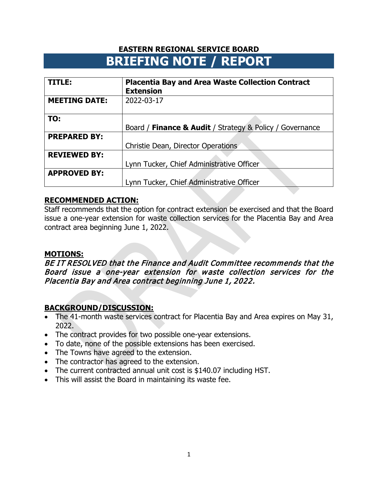| TITLE:               | <b>Placentia Bay and Area Waste Collection Contract</b><br><b>Extension</b> |
|----------------------|-----------------------------------------------------------------------------|
| <b>MEETING DATE:</b> | 2022-03-17                                                                  |
| TO:                  |                                                                             |
|                      | Board / Finance & Audit / Strategy & Policy / Governance                    |
| <b>PREPARED BY:</b>  |                                                                             |
|                      | Christie Dean, Director Operations                                          |
| <b>REVIEWED BY:</b>  |                                                                             |
|                      | Lynn Tucker, Chief Administrative Officer                                   |
| <b>APPROVED BY:</b>  |                                                                             |
|                      | Lynn Tucker, Chief Administrative Officer                                   |

# **RECOMMENDED ACTION:**

Staff recommends that the option for contract extension be exercised and that the Board issue a one-year extension for waste collection services for the Placentia Bay and Area contract area beginning June 1, 2022.

# **MOTIONS:**

BE IT RESOLVED that the Finance and Audit Committee recommends that the Board issue a one-year extension for waste collection services for the Placentia Bay and Area contract beginning June 1, 2022.

- The 41-month waste services contract for Placentia Bay and Area expires on May 31, 2022.
- The contract provides for two possible one-year extensions.
- To date, none of the possible extensions has been exercised.
- The Towns have agreed to the extension.
- The contractor has agreed to the extension.
- The current contracted annual unit cost is \$140.07 including HST.
- This will assist the Board in maintaining its waste fee.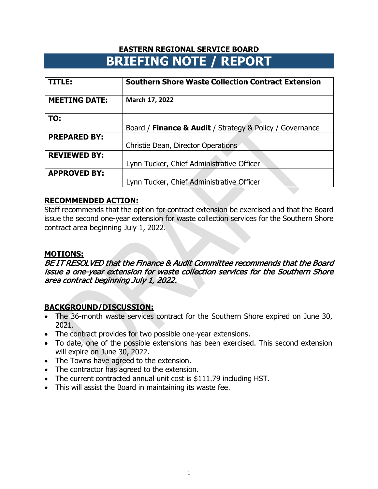| TITLE:               | <b>Southern Shore Waste Collection Contract Extension</b> |
|----------------------|-----------------------------------------------------------|
| <b>MEETING DATE:</b> | March 17, 2022                                            |
| TO:                  |                                                           |
|                      | Board / Finance & Audit / Strategy & Policy / Governance  |
| <b>PREPARED BY:</b>  |                                                           |
|                      | Christie Dean, Director Operations                        |
| <b>REVIEWED BY:</b>  |                                                           |
|                      | Lynn Tucker, Chief Administrative Officer                 |
| <b>APPROVED BY:</b>  |                                                           |
|                      | Lynn Tucker, Chief Administrative Officer                 |

### **RECOMMENDED ACTION:**

Staff recommends that the option for contract extension be exercised and that the Board issue the second one-year extension for waste collection services for the Southern Shore contract area beginning July 1, 2022.

## **MOTIONS:**

BE IT RESOLVED that the Finance & Audit Committee recommends that the Board issue a one-year extension for waste collection services for the Southern Shore area contract beginning July 1, 2022.

- The 36-month waste services contract for the Southern Shore expired on June 30, 2021.
- The contract provides for two possible one-year extensions.
- To date, one of the possible extensions has been exercised. This second extension will expire on June 30, 2022.
- The Towns have agreed to the extension.
- The contractor has agreed to the extension.
- The current contracted annual unit cost is \$111.79 including HST.
- This will assist the Board in maintaining its waste fee.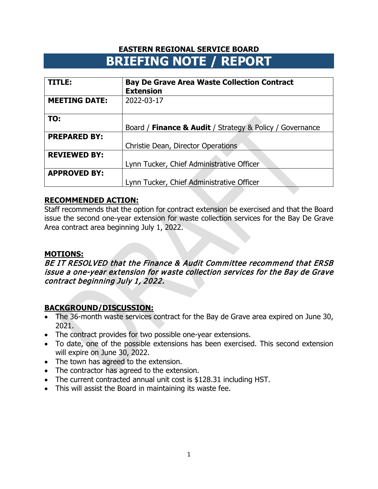| TITLE:               | <b>Bay De Grave Area Waste Collection Contract</b><br><b>Extension</b> |  |  |
|----------------------|------------------------------------------------------------------------|--|--|
| <b>MEETING DATE:</b> | 2022-03-17                                                             |  |  |
| TO:                  |                                                                        |  |  |
|                      | Board / Finance & Audit / Strategy & Policy / Governance               |  |  |
| <b>PREPARED BY:</b>  |                                                                        |  |  |
|                      | Christie Dean, Director Operations                                     |  |  |
| <b>REVIEWED BY:</b>  |                                                                        |  |  |
|                      | Lynn Tucker, Chief Administrative Officer                              |  |  |
| <b>APPROVED BY:</b>  |                                                                        |  |  |
|                      | Lynn Tucker, Chief Administrative Officer                              |  |  |

# **RECOMMENDED ACTION:**

Staff recommends that the option for contract extension be exercised and that the Board issue the second one-year extension for waste collection services for the Bay De Grave Area contract area beginning July 1, 2022.

## **MOTIONS:**

BE IT RESOLVED that the Finance & Audit Committee recommend that ERSB issue a one-year extension for waste collection services for the Bay de Grave contract beginning July 1, 2022.

- The 36-month waste services contract for the Bay de Grave area expired on June 30, 2021.
- The contract provides for two possible one-year extensions.
- To date, one of the possible extensions has been exercised. This second extension will expire on June 30, 2022.
- The town has agreed to the extension.
- The contractor has agreed to the extension.
- The current contracted annual unit cost is \$128.31 including HST.
- This will assist the Board in maintaining its waste fee.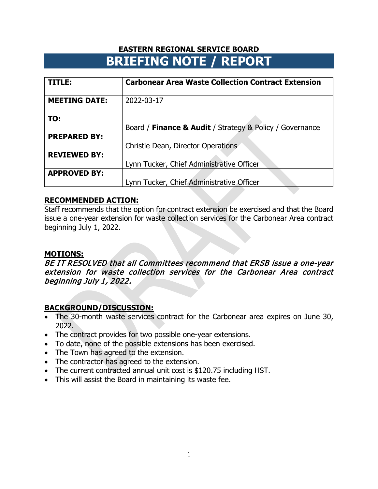| TITLE:               | <b>Carbonear Area Waste Collection Contract Extension</b> |
|----------------------|-----------------------------------------------------------|
| <b>MEETING DATE:</b> | 2022-03-17                                                |
| TO:                  |                                                           |
|                      | Board / Finance & Audit / Strategy & Policy / Governance  |
| <b>PREPARED BY:</b>  |                                                           |
|                      | Christie Dean, Director Operations                        |
| <b>REVIEWED BY:</b>  |                                                           |
|                      | Lynn Tucker, Chief Administrative Officer                 |
| <b>APPROVED BY:</b>  |                                                           |
|                      | Lynn Tucker, Chief Administrative Officer                 |

# **RECOMMENDED ACTION:**

Staff recommends that the option for contract extension be exercised and that the Board issue a one-year extension for waste collection services for the Carbonear Area contract beginning July 1, 2022.

## **MOTIONS:**

BE IT RESOLVED that all Committees recommend that ERSB issue a one-year extension for waste collection services for the Carbonear Area contract beginning July 1, 2022.

- The 30-month waste services contract for the Carbonear area expires on June 30, 2022.
- The contract provides for two possible one-year extensions.
- To date, none of the possible extensions has been exercised.
- The Town has agreed to the extension.
- The contractor has agreed to the extension.
- The current contracted annual unit cost is \$120.75 including HST.
- This will assist the Board in maintaining its waste fee.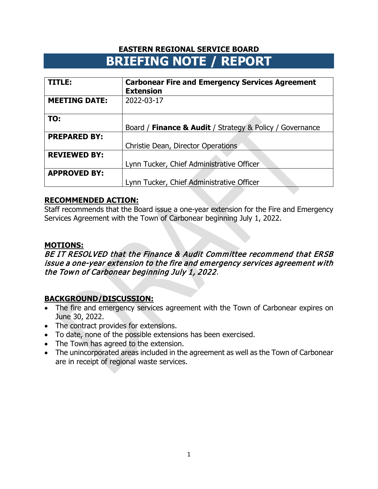| TITLE:               | <b>Carbonear Fire and Emergency Services Agreement</b><br><b>Extension</b> |
|----------------------|----------------------------------------------------------------------------|
| <b>MEETING DATE:</b> | 2022-03-17                                                                 |
| TO:                  |                                                                            |
|                      | Board / Finance & Audit / Strategy & Policy / Governance                   |
| <b>PREPARED BY:</b>  |                                                                            |
|                      | Christie Dean, Director Operations                                         |
| <b>REVIEWED BY:</b>  |                                                                            |
|                      | Lynn Tucker, Chief Administrative Officer                                  |
| <b>APPROVED BY:</b>  |                                                                            |
|                      | Lynn Tucker, Chief Administrative Officer                                  |

# **RECOMMENDED ACTION:**

Staff recommends that the Board issue a one-year extension for the Fire and Emergency Services Agreement with the Town of Carbonear beginning July 1, 2022.

# **MOTIONS:**

BE IT RESOLVED that the Finance & Audit Committee recommend that ERSB issue a one-year extension to the fire and emergency services agreement with the Town of Carbonear beginning July 1, 2022.

- The fire and emergency services agreement with the Town of Carbonear expires on June 30, 2022.
- The contract provides for extensions.
- To date, none of the possible extensions has been exercised.
- The Town has agreed to the extension.
- The unincorporated areas included in the agreement as well as the Town of Carbonear are in receipt of regional waste services.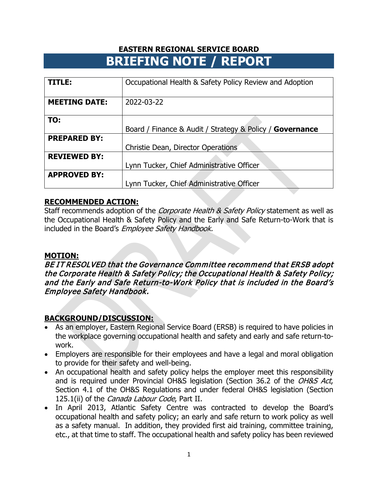| TITLE:               | Occupational Health & Safety Policy Review and Adoption  |  |  |  |
|----------------------|----------------------------------------------------------|--|--|--|
| <b>MEETING DATE:</b> | 2022-03-22                                               |  |  |  |
| TO:                  |                                                          |  |  |  |
|                      | Board / Finance & Audit / Strategy & Policy / Governance |  |  |  |
| <b>PREPARED BY:</b>  |                                                          |  |  |  |
|                      | Christie Dean, Director Operations                       |  |  |  |
| <b>REVIEWED BY:</b>  |                                                          |  |  |  |
|                      | Lynn Tucker, Chief Administrative Officer                |  |  |  |
| <b>APPROVED BY:</b>  |                                                          |  |  |  |
|                      | Lynn Tucker, Chief Administrative Officer                |  |  |  |

### **RECOMMENDED ACTION:**

Staff recommends adoption of the *Corporate Health & Safety Policy* statement as well as the Occupational Health & Safety Policy and the Early and Safe Return-to-Work that is included in the Board's Employee Safety Handbook.

## **MOTION:**

BE IT RESOLVED that the Governance Committee recommend that ERSB adopt the Corporate Health & Safety Policy; the Occupational Health & Safety Policy; and the Early and Safe Return-to-Work Policy that is included in the Board's Employee Safety Handbook.

- As an employer, Eastern Regional Service Board (ERSB) is required to have policies in the workplace governing occupational health and safety and early and safe return-towork.
- Employers are responsible for their employees and have a legal and moral obligation to provide for their safety and well-being.
- An occupational health and safety policy helps the employer meet this responsibility and is required under Provincial OH&S legislation (Section 36.2 of the OH&S Act, Section 4.1 of the OH&S Regulations and under federal OH&S legislation (Section 125.1(ii) of the Canada Labour Code, Part II.
- In April 2013, Atlantic Safety Centre was contracted to develop the Board's occupational health and safety policy; an early and safe return to work policy as well as a safety manual. In addition, they provided first aid training, committee training, etc., at that time to staff. The occupational health and safety policy has been reviewed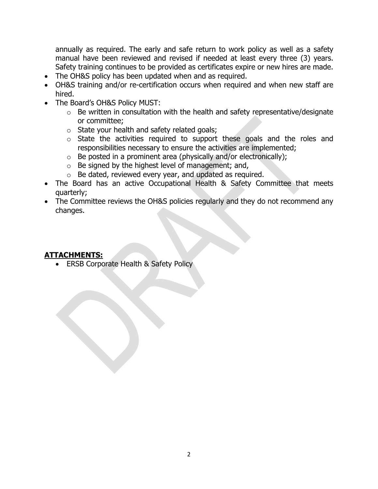annually as required. The early and safe return to work policy as well as a safety manual have been reviewed and revised if needed at least every three (3) years. Safety training continues to be provided as certificates expire or new hires are made.

- The OH&S policy has been updated when and as required.
- OH&S training and/or re-certification occurs when required and when new staff are hired.
- The Board's OH&S Policy MUST:
	- $\circ$  Be written in consultation with the health and safety representative/designate or committee;
	- o State your health and safety related goals;
	- o State the activities required to support these goals and the roles and responsibilities necessary to ensure the activities are implemented;
	- $\circ$  Be posted in a prominent area (physically and/or electronically);
	- $\circ$  Be signed by the highest level of management; and,
	- o Be dated, reviewed every year, and updated as required.
- The Board has an active Occupational Health & Safety Committee that meets quarterly;
- The Committee reviews the OH&S policies regularly and they do not recommend any changes.

## **ATTACHMENTS:**

• ERSB Corporate Health & Safety Policy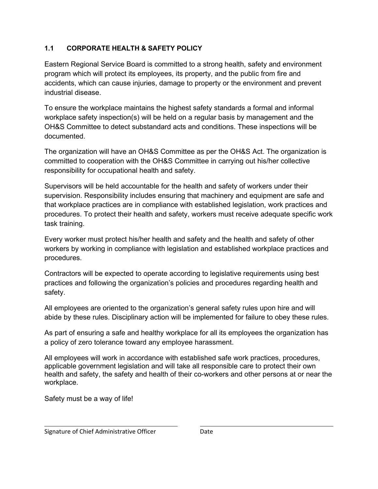# **1.1 CORPORATE HEALTH & SAFETY POLICY**

Eastern Regional Service Board is committed to a strong health, safety and environment program which will protect its employees, its property, and the public from fire and accidents, which can cause injuries, damage to property or the environment and prevent industrial disease.

To ensure the workplace maintains the highest safety standards a formal and informal workplace safety inspection(s) will be held on a regular basis by management and the OH&S Committee to detect substandard acts and conditions. These inspections will be documented.

The organization will have an OH&S Committee as per the OH&S Act. The organization is committed to cooperation with the OH&S Committee in carrying out his/her collective responsibility for occupational health and safety.

Supervisors will be held accountable for the health and safety of workers under their supervision. Responsibility includes ensuring that machinery and equipment are safe and that workplace practices are in compliance with established legislation, work practices and procedures. To protect their health and safety, workers must receive adequate specific work task training.

Every worker must protect his/her health and safety and the health and safety of other workers by working in compliance with legislation and established workplace practices and procedures.

Contractors will be expected to operate according to legislative requirements using best practices and following the organization's policies and procedures regarding health and safety.

All employees are oriented to the organization's general safety rules upon hire and will abide by these rules. Disciplinary action will be implemented for failure to obey these rules.

As part of ensuring a safe and healthy workplace for all its employees the organization has a policy of zero tolerance toward any employee harassment.

All employees will work in accordance with established safe work practices, procedures, applicable government legislation and will take all responsible care to protect their own health and safety, the safety and health of their co-workers and other persons at or near the workplace.

Safety must be a way of life!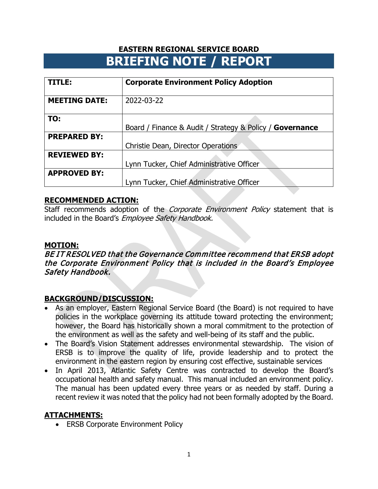| TITLE:               | <b>Corporate Environment Policy Adoption</b>             |  |  |
|----------------------|----------------------------------------------------------|--|--|
| <b>MEETING DATE:</b> | 2022-03-22                                               |  |  |
| TO:                  | Board / Finance & Audit / Strategy & Policy / Governance |  |  |
| <b>PREPARED BY:</b>  | Christie Dean, Director Operations                       |  |  |
| <b>REVIEWED BY:</b>  | Lynn Tucker, Chief Administrative Officer                |  |  |
| <b>APPROVED BY:</b>  | Lynn Tucker, Chief Administrative Officer                |  |  |

# **RECOMMENDED ACTION:**

Staff recommends adoption of the *Corporate Environment Policy* statement that is included in the Board's Employee Safety Handbook.

## **MOTION:**

BE IT RESOLVED that the Governance Committee recommend that ERSB adopt the Corporate Environment Policy that is included in the Board's Employee Safety Handbook.

# **BACKGROUND/DISCUSSION:**

- As an employer, Eastern Regional Service Board (the Board) is not required to have policies in the workplace governing its attitude toward protecting the environment; however, the Board has historically shown a moral commitment to the protection of the environment as well as the safety and well-being of its staff and the public.
- The Board's Vision Statement addresses environmental stewardship. The vision of ERSB is to improve the quality of life, provide leadership and to protect the environment in the eastern region by ensuring cost effective, sustainable services
- In April 2013, Atlantic Safety Centre was contracted to develop the Board's occupational health and safety manual. This manual included an environment policy. The manual has been updated every three years or as needed by staff. During a recent review it was noted that the policy had not been formally adopted by the Board.

# **ATTACHMENTS:**

• ERSB Corporate Environment Policy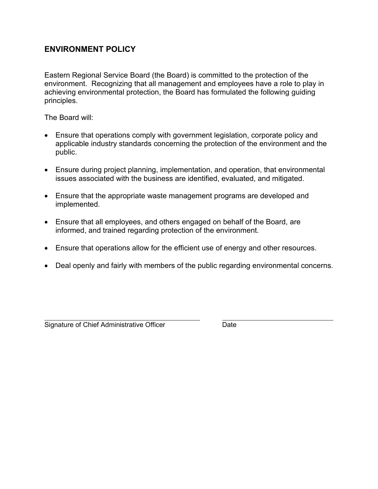# **ENVIRONMENT POLICY**

Eastern Regional Service Board (the Board) is committed to the protection of the environment. Recognizing that all management and employees have a role to play in achieving environmental protection, the Board has formulated the following guiding principles.

The Board will:

- Ensure that operations comply with government legislation, corporate policy and applicable industry standards concerning the protection of the environment and the public.
- Ensure during project planning, implementation, and operation, that environmental issues associated with the business are identified, evaluated, and mitigated.
- Ensure that the appropriate waste management programs are developed and implemented.
- Ensure that all employees, and others engaged on behalf of the Board, are informed, and trained regarding protection of the environment.
- Ensure that operations allow for the efficient use of energy and other resources.
- Deal openly and fairly with members of the public regarding environmental concerns.

Signature of Chief Administrative Officer **Date** Date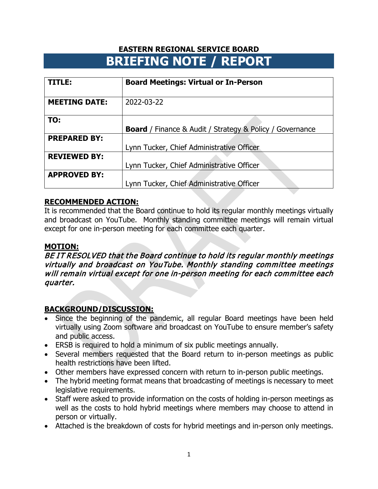| TITLE:               | <b>Board Meetings: Virtual or In-Person</b>                     |  |  |  |
|----------------------|-----------------------------------------------------------------|--|--|--|
| <b>MEETING DATE:</b> | 2022-03-22                                                      |  |  |  |
| TO:                  | <b>Board</b> / Finance & Audit / Strategy & Policy / Governance |  |  |  |
|                      |                                                                 |  |  |  |
| <b>PREPARED BY:</b>  |                                                                 |  |  |  |
|                      | Lynn Tucker, Chief Administrative Officer                       |  |  |  |
| <b>REVIEWED BY:</b>  |                                                                 |  |  |  |
|                      | Lynn Tucker, Chief Administrative Officer                       |  |  |  |
| <b>APPROVED BY:</b>  |                                                                 |  |  |  |
|                      | Lynn Tucker, Chief Administrative Officer                       |  |  |  |

### **RECOMMENDED ACTION:**

It is recommended that the Board continue to hold its regular monthly meetings virtually and broadcast on YouTube. Monthly standing committee meetings will remain virtual except for one in-person meeting for each committee each quarter.

### **MOTION:**

BE IT RESOLVED that the Board continue to hold its regular monthly meetings virtually and broadcast on YouTube. Monthly standing committee meetings will remain virtual except for one in-person meeting for each committee each quarter.

- Since the beginning of the pandemic, all regular Board meetings have been held virtually using Zoom software and broadcast on YouTube to ensure member's safety and public access.
- ERSB is required to hold a minimum of six public meetings annually.
- Several members requested that the Board return to in-person meetings as public health restrictions have been lifted.
- Other members have expressed concern with return to in-person public meetings.
- The hybrid meeting format means that broadcasting of meetings is necessary to meet legislative requirements.
- Staff were asked to provide information on the costs of holding in-person meetings as well as the costs to hold hybrid meetings where members may choose to attend in person or virtually.
- Attached is the breakdown of costs for hybrid meetings and in-person only meetings.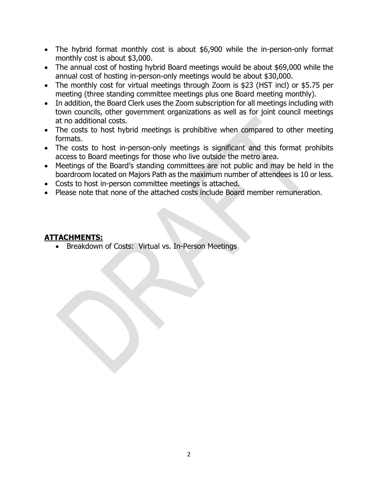- The hybrid format monthly cost is about \$6,900 while the in-person-only format monthly cost is about \$3,000.
- The annual cost of hosting hybrid Board meetings would be about \$69,000 while the annual cost of hosting in-person-only meetings would be about \$30,000.
- The monthly cost for virtual meetings through Zoom is \$23 (HST incl) or \$5.75 per meeting (three standing committee meetings plus one Board meeting monthly).
- In addition, the Board Clerk uses the Zoom subscription for all meetings including with town councils, other government organizations as well as for joint council meetings at no additional costs.
- The costs to host hybrid meetings is prohibitive when compared to other meeting formats.
- The costs to host in-person-only meetings is significant and this format prohibits access to Board meetings for those who live outside the metro area.
- Meetings of the Board's standing committees are not public and may be held in the boardroom located on Majors Path as the maximum number of attendees is 10 or less.
- Costs to host in-person committee meetings is attached.
- Please note that none of the attached costs include Board member remuneration.

# **ATTACHMENTS:**

• Breakdown of Costs: Virtual vs. In-Person Meetings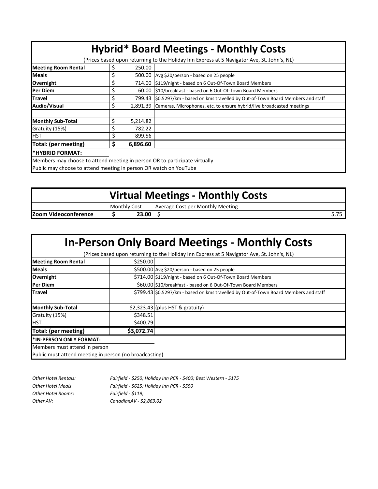| <b>Hybrid* Board Meetings - Monthly Costs</b> |                                                                                             |          |                                                                                   |  |  |
|-----------------------------------------------|---------------------------------------------------------------------------------------------|----------|-----------------------------------------------------------------------------------|--|--|
|                                               | (Prices based upon returning to the Holiday Inn Express at 5 Navigator Ave, St. John's, NL) |          |                                                                                   |  |  |
| <b>Meeting Room Rental</b>                    |                                                                                             | 250.00   |                                                                                   |  |  |
| <b>Meals</b>                                  |                                                                                             |          | 500.00 Avg \$20/person - based on 25 people                                       |  |  |
| Overnight                                     |                                                                                             |          | 714.00   \$119/night - based on 6 Out-Of-Town Board Members                       |  |  |
| Per Diem                                      |                                                                                             |          | 60.00 \$10/breakfast - based on 6 Out-Of-Town Board Members                       |  |  |
| <b>Travel</b>                                 |                                                                                             |          | 799.43 S0.5297/km - based on kms travelled by Out-of-Town Board Members and staff |  |  |
| Audio/Visual                                  | Ś                                                                                           |          | 2,891.39 Cameras, Microphones, etc, to ensure hybrid/live broadcasted meetings    |  |  |
| <b>Monthly Sub-Total</b>                      |                                                                                             | 5,214.82 |                                                                                   |  |  |
| Gratuity (15%)                                |                                                                                             | 782.22   |                                                                                   |  |  |
| <b>HST</b>                                    |                                                                                             | 899.56   |                                                                                   |  |  |
| Total: (per meeting)                          |                                                                                             | 6,896.60 |                                                                                   |  |  |
| *HYBRID FORMAT:                               |                                                                                             |          |                                                                                   |  |  |
|                                               |                                                                                             |          | Mombors may shoose to attend meeting in nerson OB to participate virtually        |  |  |

Members may choose to attend meeting in person OR to participate virtually Public may choose to attend meeting in person OR watch on YouTube

# **Virtual Meetings - Monthly Costs**

|                                     |         |           | $\sim$                                                        |             |
|-------------------------------------|---------|-----------|---------------------------------------------------------------|-------------|
|                                     | Monthly | COST      | v Meeting<br>Monthly<br>per<br>`∩≤†<br>Average<br>ししつい<br>. . |             |
| <b>Izoom</b><br><br>Videoconterence |         | nr.<br>-- |                                                               | --<br>J.I - |
|                                     |         |           |                                                               |             |

# **In-Person Only Board Meetings - Monthly Costs**

(Prices based upon returning to the Holiday Inn Express at 5 Navigator Ave, St. John's, NL)

| <b>Meeting Room Rental</b>                             | \$250.00   |                                                                                      |  |  |
|--------------------------------------------------------|------------|--------------------------------------------------------------------------------------|--|--|
| <b>Meals</b>                                           |            | \$500.00 Avg \$20/person - based on 25 people                                        |  |  |
| Overnight                                              |            | \$714.00 \$119/night - based on 6 Out-Of-Town Board Members                          |  |  |
| <b>Per Diem</b>                                        |            | \$60.00 \$10/breakfast - based on 6 Out-Of-Town Board Members                        |  |  |
| <b>lTravel</b>                                         |            | \$799.43 \$0.5297/km - based on kms travelled by Out-of-Town Board Members and staff |  |  |
|                                                        |            |                                                                                      |  |  |
| <b>Monthly Sub-Total</b>                               |            | \$2,323.43 (plus HST & gratuity)                                                     |  |  |
| Gratuity (15%)                                         | \$348.51   |                                                                                      |  |  |
| <b>HST</b>                                             | \$400.79   |                                                                                      |  |  |
| Total: (per meeting)                                   | \$3,072.74 |                                                                                      |  |  |
| *IN-PERSON ONLY FORMAT:                                |            |                                                                                      |  |  |
| Members must attend in person                          |            |                                                                                      |  |  |
| Public must attend meeting in person (no broadcasting) |            |                                                                                      |  |  |

| Other Hotel Rentals: | Fairfield - \$250; Holiday Inn PCR - \$400; Best Western - \$175 |
|----------------------|------------------------------------------------------------------|
| Other Hotel Meals    | Fairfield - \$625; Holiday Inn PCR - \$550                       |
| Other Hotel Rooms:   | Fairfield - \$119;                                               |
| Other AV:            | CanadianAV - \$2,869.02                                          |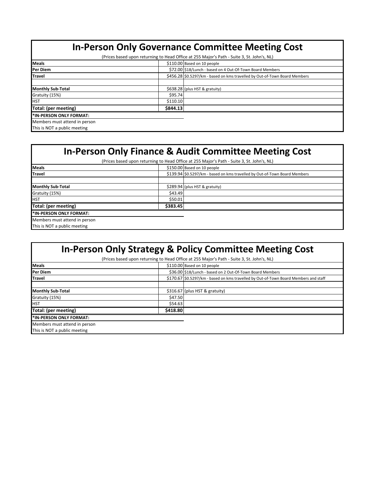# **In-Person Only Governance Committee Meeting Cost**

(Prices based upon returning to Head Office at 255 Major's Path - Suite 3, St. John's, NL)

| <b>Meals</b>                    |          | \$110.00 Based on 10 people                                                |
|---------------------------------|----------|----------------------------------------------------------------------------|
| Per Diem                        |          | \$72.00 \$18/Lunch - based on 4 Out-Of-Town Board Members                  |
| <b>Travel</b>                   |          | \$456.28 \$0.5297/km - based on kms travelled by Out-of-Town Board Members |
|                                 |          |                                                                            |
| <b>Monthly Sub-Total</b>        |          | \$638.28 (plus HST & gratuity)                                             |
| Gratuity (15%)                  | \$95.74  |                                                                            |
| <b>I</b> HST                    | \$110.10 |                                                                            |
| Total: (per meeting)            | \$844.13 |                                                                            |
| <b>I*IN-PERSON ONLY FORMAT:</b> |          |                                                                            |
| Members must attend in person   |          |                                                                            |
| This is NOT a public meeting    |          |                                                                            |

# **In-Person Only Finance & Audit Committee Meeting Cost**

| (Prices based upon returning to Head Office at 255 Major's Path - Suite 3, St. John's, NL) |          |                                                                            |  |
|--------------------------------------------------------------------------------------------|----------|----------------------------------------------------------------------------|--|
| <b>Meals</b>                                                                               |          | \$150.00 Based on 10 people                                                |  |
| <b>Travel</b>                                                                              |          | \$139.94 \$0.5297/km - based on kms travelled by Out-of-Town Board Members |  |
|                                                                                            |          |                                                                            |  |
| <b>Monthly Sub-Total</b>                                                                   |          | \$289.94 (plus HST & gratuity)                                             |  |
| Gratuity (15%)                                                                             | \$43.49  |                                                                            |  |
| <b>HST</b>                                                                                 | \$50.01  |                                                                            |  |
| Total: (per meeting)                                                                       | \$383.45 |                                                                            |  |
| I*IN-PERSON ONLY FORMAT:                                                                   |          |                                                                            |  |
| Members must attend in person                                                              |          |                                                                            |  |
| This is NOT a public meeting                                                               |          |                                                                            |  |

| <b>In-Person Only Strategy &amp; Policy Committee Meeting Cost</b>                         |          |                                                                                      |  |  |
|--------------------------------------------------------------------------------------------|----------|--------------------------------------------------------------------------------------|--|--|
| (Prices based upon returning to Head Office at 255 Major's Path - Suite 3, St. John's, NL) |          |                                                                                      |  |  |
| <b>Meals</b>                                                                               |          | \$110.00 Based on 10 people                                                          |  |  |
| <b>IPer Diem</b>                                                                           |          | \$36.00 \$18/Lunch - based on 2 Out-Of-Town Board Members                            |  |  |
| <b>ITravel</b>                                                                             |          | \$170.67 \$0.5297/km - based on kms travelled by Out-of-Town Board Members and staff |  |  |
|                                                                                            |          |                                                                                      |  |  |
| <b>Monthly Sub-Total</b>                                                                   |          | \$316.67 (plus HST & gratuity)                                                       |  |  |
| Gratuity (15%)                                                                             | \$47.50  |                                                                                      |  |  |
| <b>HST</b>                                                                                 | \$54.63  |                                                                                      |  |  |
| Total: (per meeting)                                                                       | \$418.80 |                                                                                      |  |  |
| I*IN-PERSON ONLY FORMAT:                                                                   |          |                                                                                      |  |  |
| Members must attend in person                                                              |          |                                                                                      |  |  |
| This is NOT a public meeting                                                               |          |                                                                                      |  |  |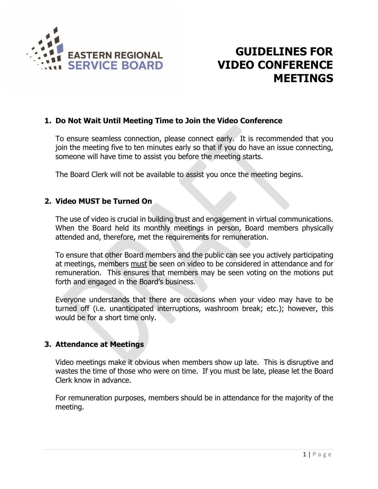

# **GUIDELINES FOR VIDEO CONFERENCE MEETINGS**

### **1. Do Not Wait Until Meeting Time to Join the Video Conference**

To ensure seamless connection, please connect early. It is recommended that you join the meeting five to ten minutes early so that if you do have an issue connecting, someone will have time to assist you before the meeting starts.

The Board Clerk will not be available to assist you once the meeting begins.

## **2. Video MUST be Turned On**

The use of video is crucial in building trust and engagement in virtual communications. When the Board held its monthly meetings in person, Board members physically attended and, therefore, met the requirements for remuneration.

To ensure that other Board members and the public can see you actively participating at meetings, members must be seen on video to be considered in attendance and for remuneration. This ensures that members may be seen voting on the motions put forth and engaged in the Board's business.

Everyone understands that there are occasions when your video may have to be turned off (i.e. unanticipated interruptions, washroom break; etc.); however, this would be for a short time only.

## **3. Attendance at Meetings**

Video meetings make it obvious when members show up late. This is disruptive and wastes the time of those who were on time. If you must be late, please let the Board Clerk know in advance.

For remuneration purposes, members should be in attendance for the majority of the meeting.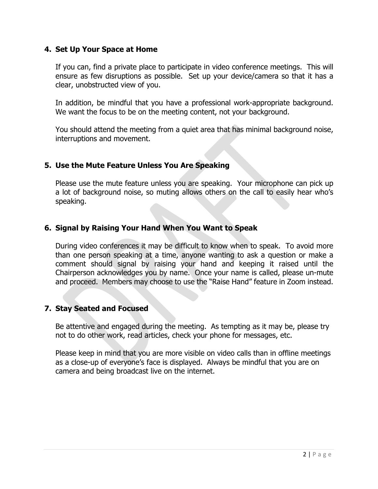### **4. Set Up Your Space at Home**

If you can, find a private place to participate in video conference meetings. This will ensure as few disruptions as possible. Set up your device/camera so that it has a clear, unobstructed view of you.

In addition, be mindful that you have a professional work-appropriate background. We want the focus to be on the meeting content, not your background.

You should attend the meeting from a quiet area that has minimal background noise, interruptions and movement.

## **5. Use the Mute Feature Unless You Are Speaking**

Please use the mute feature unless you are speaking. Your microphone can pick up a lot of background noise, so muting allows others on the call to easily hear who's speaking.

## **6. Signal by Raising Your Hand When You Want to Speak**

During video conferences it may be difficult to know when to speak. To avoid more than one person speaking at a time, anyone wanting to ask a question or make a comment should signal by raising your hand and keeping it raised until the Chairperson acknowledges you by name. Once your name is called, please un-mute and proceed. Members may choose to use the "Raise Hand" feature in Zoom instead.

## **7. Stay Seated and Focused**

Be attentive and engaged during the meeting. As tempting as it may be, please try not to do other work, read articles, check your phone for messages, etc.

Please keep in mind that you are more visible on video calls than in offline meetings as a close-up of everyone's face is displayed. Always be mindful that you are on camera and being broadcast live on the internet.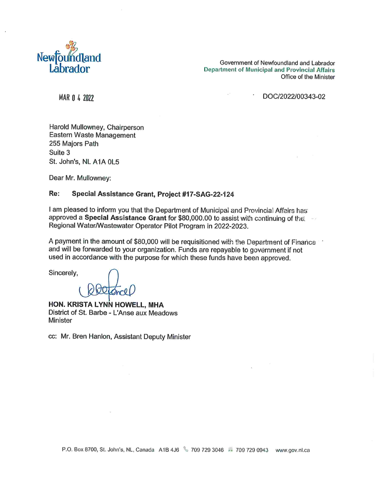

Government of Newfoundland and Labrador Department of Municipal and Provincial Affairs Office of the Minister

MAR 0 4 2022 2003 43-02

Harold Mullowney, Chairperson Eastern Waste Management 255 Majors Path Suite 3 St. John's. NL AIA 0L5

Dear Mr. Mullowney

#### Re: Special Assistance Grant, Project #17-SAG-22-124

I am pleased to inform you that the Department of Municipal and Provincial Affairs has approved a Special Assistance Grant for \$80,000.00 to assist with continuing of the Regional Water/Wastewater Operator Pilot Program in 2022-2023.

A payment in the amount of \$80,000 will be requisitioned with the Department of Finance and will be forwarded to your organization. Funds are repayable to government if not used in accordance with the purpose for which these funds have been approved.

Sincerely,

HON. KRISTA LYNN HOWELL, MHA District of St. Barbe - L'Anse aux Meadows Minister

cc: Mr. Bren Hanlon, Assistant Deputy Minister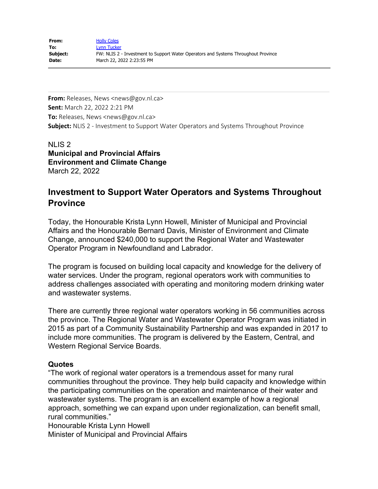**From:** Releases, News <news@gov.nl.ca> **Sent:** March 22, 2022 2:21 PM **To:** Releases, News <news@gov.nl.ca> **Subject:** NLIS 2 - Investment to Support Water Operators and Systems Throughout Province

NLIS 2 **Municipal and Provincial Affairs Environment and Climate Change** March 22, 2022

# **Investment to Support Water Operators and Systems Throughout Province**

Today, the Honourable Krista Lynn Howell, Minister of Municipal and Provincial Affairs and the Honourable Bernard Davis, Minister of Environment and Climate Change, announced \$240,000 to support the Regional Water and Wastewater Operator Program in Newfoundland and Labrador.

The program is focused on building local capacity and knowledge for the delivery of water services. Under the program, regional operators work with communities to address challenges associated with operating and monitoring modern drinking water and wastewater systems.

There are currently three regional water operators working in 56 communities across the province. The Regional Water and Wastewater Operator Program was initiated in 2015 as part of a Community Sustainability Partnership and was expanded in 2017 to include more communities. The program is delivered by the Eastern, Central, and Western Regional Service Boards.

## **Quotes**

"The work of regional water operators is a tremendous asset for many rural communities throughout the province. They help build capacity and knowledge within the participating communities on the operation and maintenance of their water and wastewater systems. The program is an excellent example of how a regional approach, something we can expand upon under regionalization, can benefit small, rural communities."

Honourable Krista Lynn Howell

Minister of Municipal and Provincial Affairs